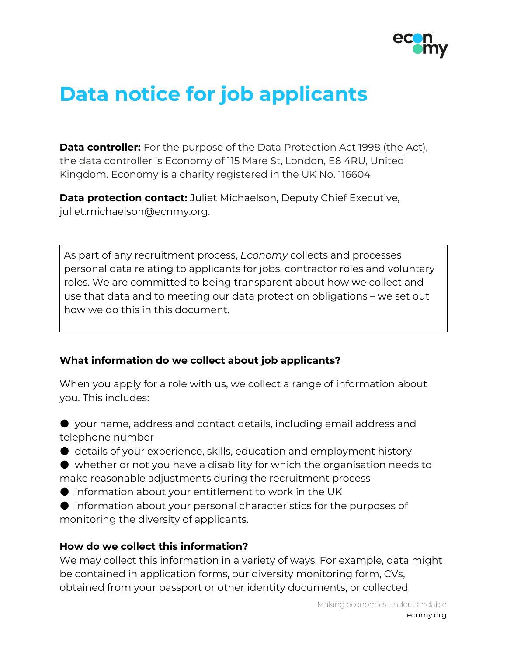

# **Data notice for job applicants**

**Data controller:** For the purpose of the Data Protection Act 1998 (the Act), the data controller is Economy of 115 Mare St, London, E8 4RU, United Kingdom. Economy is a charity registered in the UK No. 116604

**Data protection contact:** Juliet Michaelson, Deputy Chief Executive, juliet.michaelson@ecnmy.org.

As part of any recruitment process, *Economy* collects and processes personal data relating to applicants for jobs, contractor roles and voluntary roles. We are committed to being transparent about how we collect and use that data and to meeting our data protection obligations – we set out how we do this in this document.

# **What information do we collect about job applicants?**

When you apply for a role with us, we collect a range of information about you. This includes:

● your name, address and contact details, including email address and telephone number

● details of your experience, skills, education and employment history

● whether or not you have a disability for which the organisation needs to make reasonable adjustments during the recruitment process

 $\bullet$  information about your entitlement to work in the UK

● information about your personal characteristics for the purposes of monitoring the diversity of applicants.

#### **How do we collect this information?**

We may collect this information in a variety of ways. For example, data might be contained in application forms, our diversity monitoring form, CVs, obtained from your passport or other identity documents, or collected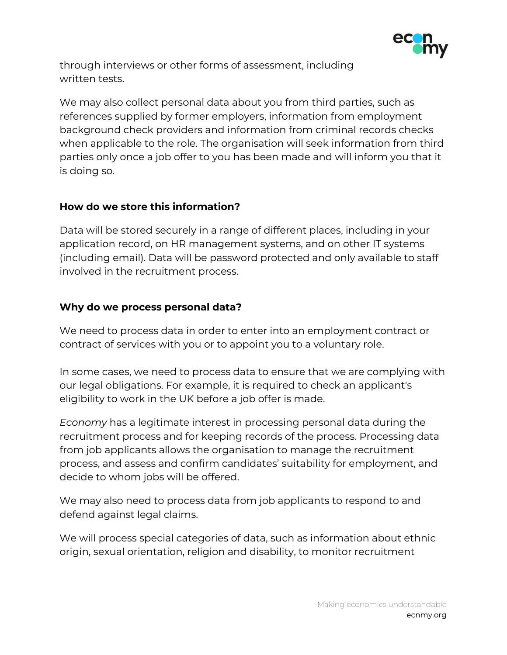

through interviews or other forms of assessment, including written tests.

We may also collect personal data about you from third parties, such as references supplied by former employers, information from employment background check providers and information from criminal records checks when applicable to the role. The organisation will seek information from third parties only once a job offer to you has been made and will inform you that it is doing so.

# **How do we store this information?**

Data will be stored securely in a range of different places, including in your application record, on HR management systems, and on other IT systems (including email). Data will be password protected and only available to staff involved in the recruitment process.

# **Why do we process personal data?**

We need to process data in order to enter into an employment contract or contract of services with you or to appoint you to a voluntary role.

In some cases, we need to process data to ensure that we are complying with our legal obligations. For example, it is required to check an applicant's eligibility to work in the UK before a job offer is made.

*Economy* has a legitimate interest in processing personal data during the recruitment process and for keeping records of the process. Processing data from job applicants allows the organisation to manage the recruitment process, and assess and confirm candidates' suitability for employment, and decide to whom jobs will be offered.

We may also need to process data from job applicants to respond to and defend against legal claims.

We will process special categories of data, such as information about ethnic origin, sexual orientation, religion and disability, to monitor recruitment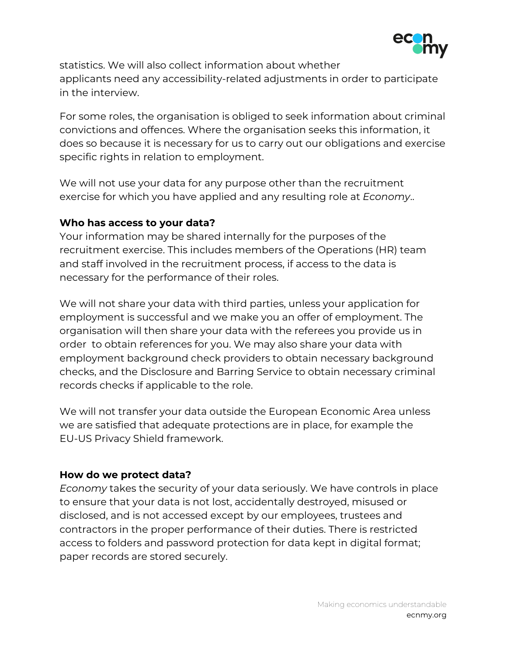

statistics. We will also collect information about whether applicants need any accessibility-related adjustments in order to participate in the interview.

For some roles, the organisation is obliged to seek information about criminal convictions and offences. Where the organisation seeks this information, it does so because it is necessary for us to carry out our obligations and exercise specific rights in relation to employment.

We will not use your data for any purpose other than the recruitment exercise for which you have applied and any resulting role at *Economy*..

### **Who has access to your data?**

Your information may be shared internally for the purposes of the recruitment exercise. This includes members of the Operations (HR) team and staff involved in the recruitment process, if access to the data is necessary for the performance of their roles.

We will not share your data with third parties, unless your application for employment is successful and we make you an offer of employment. The organisation will then share your data with the referees you provide us in order to obtain references for you. We may also share your data with employment background check providers to obtain necessary background checks, and the Disclosure and Barring Service to obtain necessary criminal records checks if applicable to the role.

We will not transfer your data outside the European Economic Area unless we are satisfied that adequate protections are in place, for example the EU-US Privacy Shield framework.

# **How do we protect data?**

*Economy* takes the security of your data seriously. We have controls in place to ensure that your data is not lost, accidentally destroyed, misused or disclosed, and is not accessed except by our employees, trustees and contractors in the proper performance of their duties. There is restricted access to folders and password protection for data kept in digital format; paper records are stored securely.